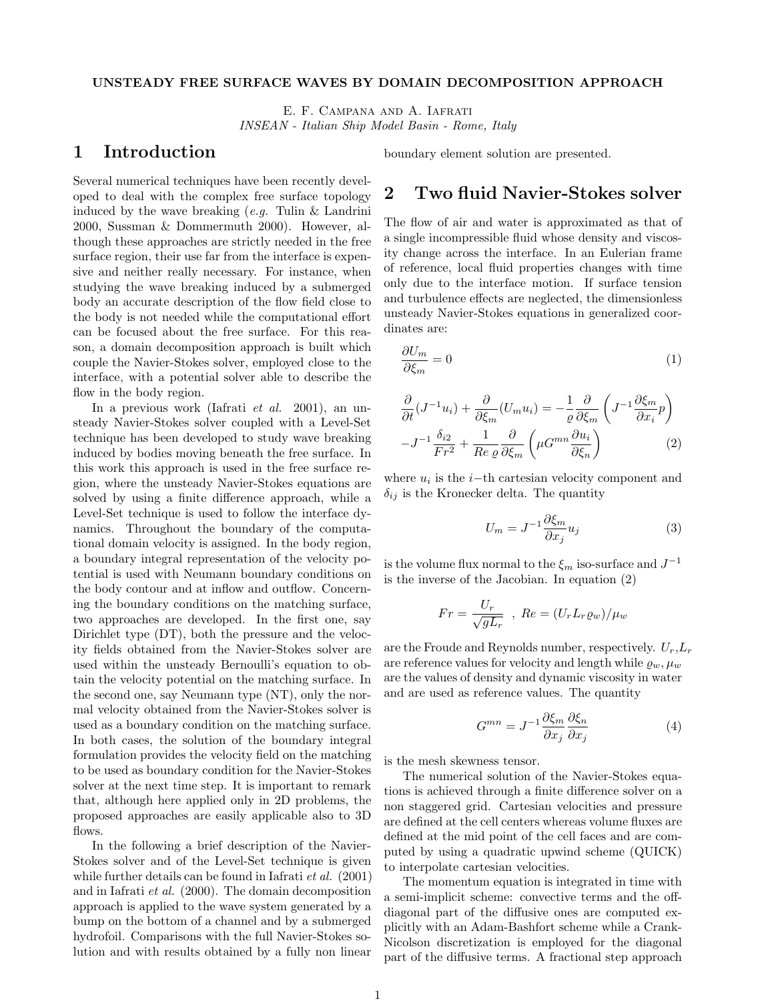#### UNSTEADY FREE SURFACE WAVES BY DOMAIN DECOMPOSITION APPROACH

E. F. Campana and A. Iafrati INSEAN - Italian Ship Model Basin - Rome, Italy

## 1 Introduction

Several numerical techniques have been recently developed to deal with the complex free surface topology induced by the wave breaking  $(e.g.$  Tulin  $\&$  Landrini 2000, Sussman & Dommermuth 2000). However, although these approaches are strictly needed in the free surface region, their use far from the interface is expensive and neither really necessary. For instance, when studying the wave breaking induced by a submerged body an accurate description of the flow field close to the body is not needed while the computational effort can be focused about the free surface. For this reason, a domain decomposition approach is built which couple the Navier-Stokes solver, employed close to the interface, with a potential solver able to describe the flow in the body region.

In a previous work (Iafrati et al. 2001), an unsteady Navier-Stokes solver coupled with a Level-Set technique has been developed to study wave breaking induced by bodies moving beneath the free surface. In this work this approach is used in the free surface region, where the unsteady Navier-Stokes equations are solved by using a finite difference approach, while a Level-Set technique is used to follow the interface dynamics. Throughout the boundary of the computational domain velocity is assigned. In the body region, a boundary integral representation of the velocity potential is used with Neumann boundary conditions on the body contour and at inflow and outflow. Concerning the boundary conditions on the matching surface, two approaches are developed. In the first one, say Dirichlet type (DT), both the pressure and the velocity fields obtained from the Navier-Stokes solver are used within the unsteady Bernoulli's equation to obtain the velocity potential on the matching surface. In the second one, say Neumann type (NT), only the normal velocity obtained from the Navier-Stokes solver is used as a boundary condition on the matching surface. In both cases, the solution of the boundary integral formulation provides the velocity field on the matching to be used as boundary condition for the Navier-Stokes solver at the next time step. It is important to remark that, although here applied only in 2D problems, the proposed approaches are easily applicable also to 3D flows.

In the following a brief description of the Navier-Stokes solver and of the Level-Set technique is given while further details can be found in Iafrati et al. (2001) and in Iafrati et al. (2000). The domain decomposition approach is applied to the wave system generated by a bump on the bottom of a channel and by a submerged hydrofoil. Comparisons with the full Navier-Stokes solution and with results obtained by a fully non linear boundary element solution are presented.

## 2 Two fluid Navier-Stokes solver

The flow of air and water is approximated as that of a single incompressible fluid whose density and viscosity change across the interface. In an Eulerian frame of reference, local fluid properties changes with time only due to the interface motion. If surface tension and turbulence effects are neglected, the dimensionless unsteady Navier-Stokes equations in generalized coordinates are:

$$
\frac{\partial U_m}{\partial \xi_m} = 0 \tag{1}
$$

$$
\frac{\partial}{\partial t}(J^{-1}u_i) + \frac{\partial}{\partial \xi_m}(U_m u_i) = -\frac{1}{\varrho} \frac{\partial}{\partial \xi_m} \left( J^{-1} \frac{\partial \xi_m}{\partial x_i} p \right)
$$

$$
-J^{-1} \frac{\delta_{i2}}{Fr^2} + \frac{1}{Re \varrho} \frac{\partial}{\partial \xi_m} \left( \mu G^{mn} \frac{\partial u_i}{\partial \xi_n} \right)
$$
(2)

where  $u_i$  is the *i*-th cartesian velocity component and  $\delta_{ij}$  is the Kronecker delta. The quantity

$$
U_m = J^{-1} \frac{\partial \xi_m}{\partial x_j} u_j \tag{3}
$$

is the volume flux normal to the  $\xi_m$  iso-surface and  $J^{-1}$ is the inverse of the Jacobian. In equation (2)

$$
Fr = \frac{U_r}{\sqrt{gL_r}} , Re = (U_r L_r \varrho_w) / \mu_w
$$

are the Froude and Reynolds number, respectively.  $U_r, L_r$ are reference values for velocity and length while  $\rho_w, \mu_w$ are the values of density and dynamic viscosity in water and are used as reference values. The quantity

$$
G^{mn} = J^{-1} \frac{\partial \xi_m}{\partial x_j} \frac{\partial \xi_n}{\partial x_j} \tag{4}
$$

is the mesh skewness tensor.

The numerical solution of the Navier-Stokes equations is achieved through a finite difference solver on a non staggered grid. Cartesian velocities and pressure are defined at the cell centers whereas volume fluxes are defined at the mid point of the cell faces and are computed by using a quadratic upwind scheme (QUICK) to interpolate cartesian velocities.

The momentum equation is integrated in time with a semi-implicit scheme: convective terms and the offdiagonal part of the diffusive ones are computed explicitly with an Adam-Bashfort scheme while a Crank-Nicolson discretization is employed for the diagonal part of the diffusive terms. A fractional step approach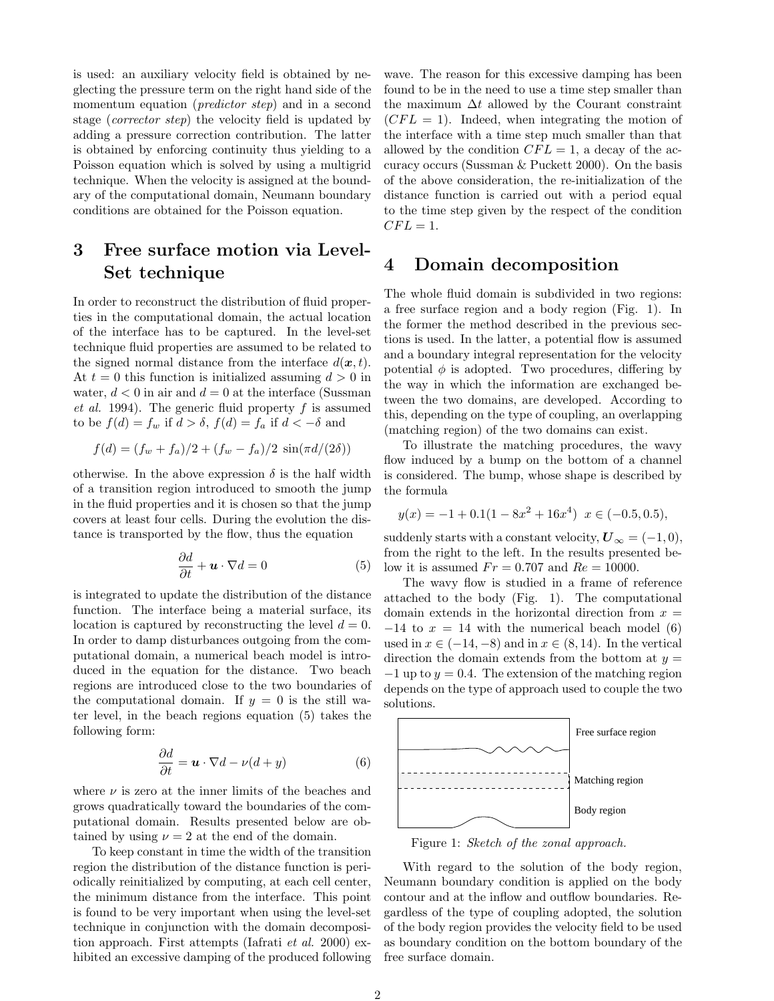is used: an auxiliary velocity field is obtained by neglecting the pressure term on the right hand side of the momentum equation (*predictor step*) and in a second stage (corrector step) the velocity field is updated by adding a pressure correction contribution. The latter is obtained by enforcing continuity thus yielding to a Poisson equation which is solved by using a multigrid technique. When the velocity is assigned at the boundary of the computational domain, Neumann boundary conditions are obtained for the Poisson equation.

# 3 Free surface motion via Level-Set technique

In order to reconstruct the distribution of fluid properties in the computational domain, the actual location of the interface has to be captured. In the level-set technique fluid properties are assumed to be related to the signed normal distance from the interface  $d(\boldsymbol{x}, t)$ . At  $t = 0$  this function is initialized assuming  $d > 0$  in water,  $d < 0$  in air and  $d = 0$  at the interface (Sussman *et al.* 1994). The generic fluid property  $f$  is assumed to be  $f(d) = f_w$  if  $d > \delta$ ,  $f(d) = f_a$  if  $d < -\delta$  and

$$
f(d) = (f_w + f_a)/2 + (f_w - f_a)/2 \sin(\pi d/(2\delta))
$$

otherwise. In the above expression  $\delta$  is the half width of a transition region introduced to smooth the jump in the fluid properties and it is chosen so that the jump covers at least four cells. During the evolution the distance is transported by the flow, thus the equation

$$
\frac{\partial d}{\partial t} + \mathbf{u} \cdot \nabla d = 0 \tag{5}
$$

is integrated to update the distribution of the distance function. The interface being a material surface, its location is captured by reconstructing the level  $d = 0$ . In order to damp disturbances outgoing from the computational domain, a numerical beach model is introduced in the equation for the distance. Two beach regions are introduced close to the two boundaries of the computational domain. If  $y = 0$  is the still water level, in the beach regions equation (5) takes the following form:

$$
\frac{\partial d}{\partial t} = \mathbf{u} \cdot \nabla d - \nu(d+y) \tag{6}
$$

where  $\nu$  is zero at the inner limits of the beaches and grows quadratically toward the boundaries of the computational domain. Results presented below are obtained by using  $\nu = 2$  at the end of the domain.

To keep constant in time the width of the transition region the distribution of the distance function is periodically reinitialized by computing, at each cell center, the minimum distance from the interface. This point is found to be very important when using the level-set technique in conjunction with the domain decomposition approach. First attempts (Iafrati et al. 2000) exhibited an excessive damping of the produced following wave. The reason for this excessive damping has been found to be in the need to use a time step smaller than the maximum  $\Delta t$  allowed by the Courant constraint  $(CFL = 1)$ . Indeed, when integrating the motion of the interface with a time step much smaller than that allowed by the condition  $CFL = 1$ , a decay of the accuracy occurs (Sussman & Puckett 2000). On the basis of the above consideration, the re-initialization of the distance function is carried out with a period equal to the time step given by the respect of the condition  $CFL = 1.$ 

## 4 Domain decomposition

The whole fluid domain is subdivided in two regions: a free surface region and a body region (Fig. 1). In the former the method described in the previous sections is used. In the latter, a potential flow is assumed and a boundary integral representation for the velocity potential  $\phi$  is adopted. Two procedures, differing by the way in which the information are exchanged between the two domains, are developed. According to this, depending on the type of coupling, an overlapping (matching region) of the two domains can exist.

To illustrate the matching procedures, the wavy flow induced by a bump on the bottom of a channel is considered. The bump, whose shape is described by the formula

$$
y(x) = -1 + 0.1(1 - 8x^{2} + 16x^{4}) \quad x \in (-0.5, 0.5),
$$

suddenly starts with a constant velocity,  $\boldsymbol{U}_{\infty} = (-1,0),$ from the right to the left. In the results presented below it is assumed  $Fr = 0.707$  and  $Re = 10000$ .

The wavy flow is studied in a frame of reference attached to the body (Fig. 1). The computational domain extends in the horizontal direction from  $x =$  $-14$  to  $x = 14$  with the numerical beach model (6) used in  $x \in (-14, -8)$  and in  $x \in (8, 14)$ . In the vertical direction the domain extends from the bottom at  $y =$  $-1$  up to  $y = 0.4$ . The extension of the matching region depends on the type of approach used to couple the two solutions.



Figure 1: Sketch of the zonal approach.

With regard to the solution of the body region, Neumann boundary condition is applied on the body contour and at the inflow and outflow boundaries. Regardless of the type of coupling adopted, the solution of the body region provides the velocity field to be used as boundary condition on the bottom boundary of the free surface domain.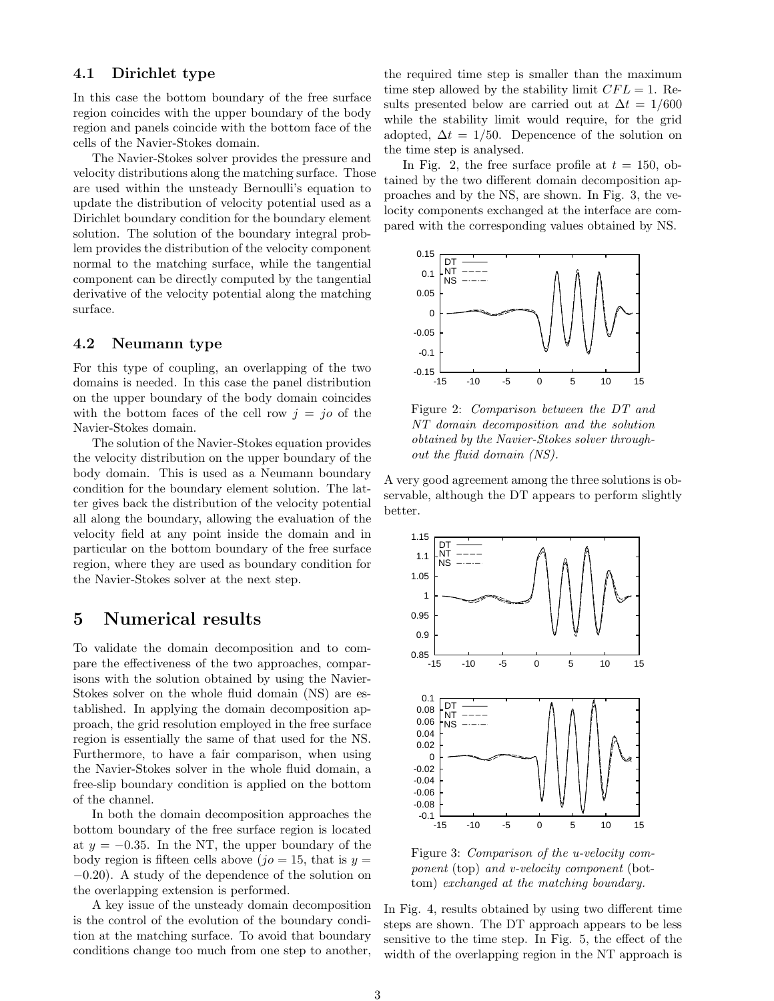#### 4.1 Dirichlet type

In this case the bottom boundary of the free surface region coincides with the upper boundary of the body region and panels coincide with the bottom face of the cells of the Navier-Stokes domain.

The Navier-Stokes solver provides the pressure and velocity distributions along the matching surface. Those are used within the unsteady Bernoulli's equation to update the distribution of velocity potential used as a Dirichlet boundary condition for the boundary element solution. The solution of the boundary integral problem provides the distribution of the velocity component normal to the matching surface, while the tangential component can be directly computed by the tangential derivative of the velocity potential along the matching surface.

#### 4.2 Neumann type

For this type of coupling, an overlapping of the two domains is needed. In this case the panel distribution on the upper boundary of the body domain coincides with the bottom faces of the cell row  $i = i\sigma$  of the Navier-Stokes domain.

The solution of the Navier-Stokes equation provides the velocity distribution on the upper boundary of the body domain. This is used as a Neumann boundary condition for the boundary element solution. The latter gives back the distribution of the velocity potential all along the boundary, allowing the evaluation of the velocity field at any point inside the domain and in particular on the bottom boundary of the free surface region, where they are used as boundary condition for the Navier-Stokes solver at the next step.

## 5 Numerical results

To validate the domain decomposition and to compare the effectiveness of the two approaches, comparisons with the solution obtained by using the Navier-Stokes solver on the whole fluid domain (NS) are established. In applying the domain decomposition approach, the grid resolution employed in the free surface region is essentially the same of that used for the NS. Furthermore, to have a fair comparison, when using the Navier-Stokes solver in the whole fluid domain, a free-slip boundary condition is applied on the bottom of the channel.

In both the domain decomposition approaches the bottom boundary of the free surface region is located at  $y = -0.35$ . In the NT, the upper boundary of the body region is fifteen cells above ( $jo = 15$ , that is  $y =$ −0.20). A study of the dependence of the solution on the overlapping extension is performed.

A key issue of the unsteady domain decomposition is the control of the evolution of the boundary condition at the matching surface. To avoid that boundary conditions change too much from one step to another, the required time step is smaller than the maximum time step allowed by the stability limit  $CFL = 1$ . Results presented below are carried out at  $\Delta t = 1/600$ while the stability limit would require, for the grid adopted,  $\Delta t = 1/50$ . Depencence of the solution on the time step is analysed.

In Fig. 2, the free surface profile at  $t = 150$ , obtained by the two different domain decomposition approaches and by the NS, are shown. In Fig. 3, the velocity components exchanged at the interface are compared with the corresponding values obtained by NS.



Figure 2: Comparison between the DT and NT domain decomposition and the solution obtained by the Navier-Stokes solver throughout the fluid domain (NS).

A very good agreement among the three solutions is observable, although the DT appears to perform slightly better.



Figure 3: Comparison of the u-velocity component (top) and v-velocity component (bottom) exchanged at the matching boundary.

In Fig. 4, results obtained by using two different time steps are shown. The DT approach appears to be less sensitive to the time step. In Fig. 5, the effect of the width of the overlapping region in the NT approach is